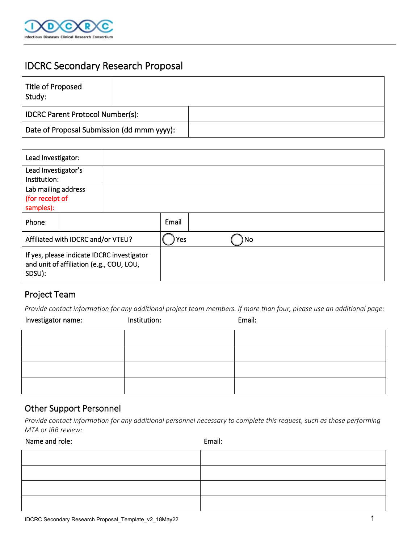

# IDCRC Secondary Research Proposal

| Title of Proposed<br>Study:                |  |  |
|--------------------------------------------|--|--|
| <b>IDCRC Parent Protocol Number(s):</b>    |  |  |
| Date of Proposal Submission (dd mmm yyyy): |  |  |

| Lead Investigator:                                                                               |  |     |       |  |  |  |
|--------------------------------------------------------------------------------------------------|--|-----|-------|--|--|--|
| Lead Investigator's                                                                              |  |     |       |  |  |  |
| Institution:                                                                                     |  |     |       |  |  |  |
| Lab mailing address                                                                              |  |     |       |  |  |  |
| (for receipt of                                                                                  |  |     |       |  |  |  |
| samples):                                                                                        |  |     |       |  |  |  |
| Phone:                                                                                           |  |     | Email |  |  |  |
| Affiliated with IDCRC and/or VTEU?                                                               |  | Yes | ) No  |  |  |  |
| If yes, please indicate IDCRC investigator<br>and unit of affiliation (e.g., COU, LOU,<br>SDSU): |  |     |       |  |  |  |

#### Project Team

*Provide contact information for any additional project team members. If more than four, please use an additional page:* 

| Investigator name: | Institution: | Email: |
|--------------------|--------------|--------|
|                    |              |        |
|                    |              |        |
|                    |              |        |
|                    |              |        |

### Other Support Personnel

*Provide contact information for any additional personnel necessary to complete this request, such as those performing MTA or IRB review:* 

Name and role: Email: Email: Email: Email: Email: Email: Email: Email: Email: Email: Email: Email: Email: Email: Email: Email: Email: Email: Email: Email: Email: Email: Email: Email: Email: Email: Email: Email: Email: Emai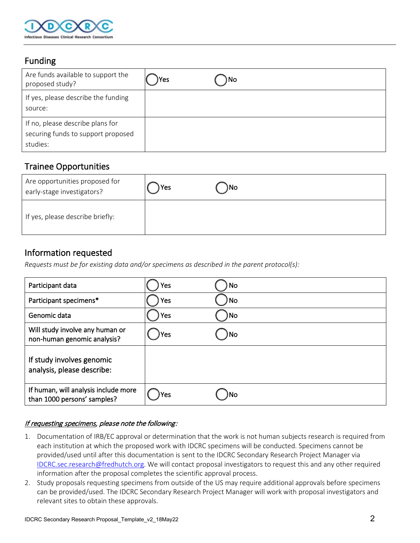

### Funding

| Are funds available to support the<br>proposed study?                              | Yes | ) No |
|------------------------------------------------------------------------------------|-----|------|
| If yes, please describe the funding<br>source:                                     |     |      |
| If no, please describe plans for<br>securing funds to support proposed<br>studies: |     |      |

### Trainee Opportunities

| Are opportunities proposed for<br>early-stage investigators? | Yes | )No |
|--------------------------------------------------------------|-----|-----|
| If yes, please describe briefly:                             |     |     |

### Information requested

*Requests must be for existing data and/or specimens as described in the parent protocol(s):*

| Participant data                                                    | Yes  | No   |
|---------------------------------------------------------------------|------|------|
| Participant specimens*                                              | Yes  | ) No |
| Genomic data                                                        | Yes  | )No  |
| Will study involve any human or<br>non-human genomic analysis?      | )Yes | ) No |
| If study involves genomic<br>analysis, please describe:             |      |      |
| If human, will analysis include more<br>than 1000 persons' samples? | )Yes | ۱No  |

#### If requesting specimens, please note the following:

- 1. Documentation of IRB/EC approval or determination that the work is not human subjects research is required from each institution at which the proposed work with IDCRC specimens will be conducted. Specimens cannot be provided/used until after this documentation is sent to the IDCRC Secondary Research Project Manager via [IDCRC.sec.research@fredhutch.org.](mailto:IDCRC.sec.research@fredhutch.org) We will contact proposal investigators to request this and any other required information after the proposal completes the scientific approval process.
- 2. Study proposals requesting specimens from outside of the US may require additional approvals before specimens can be provided/used. The IDCRC Secondary Research Project Manager will work with proposal investigators and relevant sites to obtain these approvals.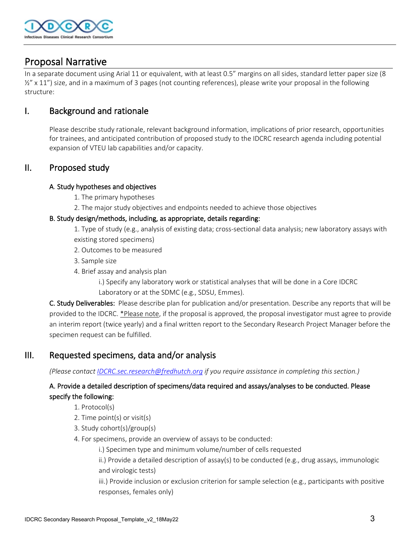

## Proposal Narrative

In a separate document using Arial 11 or equivalent, with at least 0.5" margins on all sides, standard letter paper size (8  $\frac{1}{2}$ " x 11") size, and in a maximum of 3 pages (not counting references), please write your proposal in the following structure:

### I. Background and rationale

Please describe study rationale, relevant background information, implications of prior research, opportunities for trainees, and anticipated contribution of proposed study to the IDCRC research agenda including potential expansion of VTEU lab capabilities and/or capacity.

#### II. Proposed study

#### A. Study hypotheses and objectives

- 1. The primary hypotheses
- 2. The major study objectives and endpoints needed to achieve those objectives

#### B. Study design/methods, including, as appropriate, details regarding:

1. Type of study (e.g., analysis of existing data; cross-sectional data analysis; new laboratory assays with existing stored specimens)

- 2. Outcomes to be measured
- 3. Sample size
- 4. Brief assay and analysis plan
	- i.) Specify any laboratory work or statistical analyses that will be done in a Core IDCRC
	- Laboratory or at the SDMC (e.g., SDSU, Emmes).

C. Study Deliverables: Please describe plan for publication and/or presentation. Describe any reports that will be provided to the IDCRC. \*Please note, if the proposal is approved, the proposal investigator must agree to provide an interim report (twice yearly) and a final written report to the Secondary Research Project Manager before the specimen request can be fulfilled.

#### III. Requested specimens, data and/or analysis

*(Please contact [IDCRC.sec.research@fredhutch.org](mailto:IDCRC.sec.research@fredhutch.org) if you require assistance in completing this section.)*

#### A. Provide a detailed description of specimens/data required and assays/analyses to be conducted. Please specify the following:

- 1. Protocol(s)
- 2. Time point(s) or visit(s)
- 3. Study cohort(s)/group(s)
- 4. For specimens, provide an overview of assays to be conducted:
	- i.) Specimen type and minimum volume/number of cells requested

ii.) Provide a detailed description of assay(s) to be conducted (e.g., drug assays, immunologic and virologic tests)

iii.) Provide inclusion or exclusion criterion for sample selection (e.g., participants with positive responses, females only)